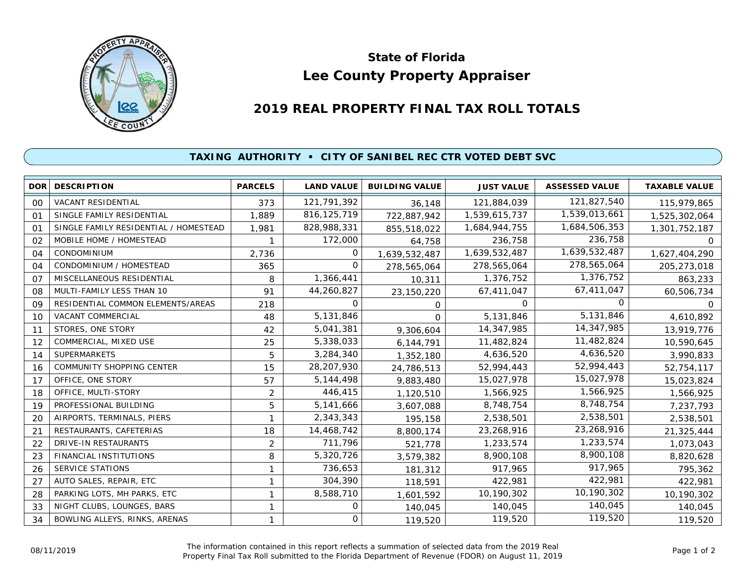

## **Lee County Property Appraiser State of Florida**

## **2019 REAL PROPERTY FINAL TAX ROLL TOTALS**

## **TAXING AUTHORITY • CITY OF SANIBEL REC CTR VOTED DEBT SVC**

| <b>DOR</b> | <b>DESCRIPTION</b>                    | <b>PARCELS</b> | <b>LAND VALUE</b> | <b>BUILDING VALUE</b> | <b>JUST VALUE</b> | <b>ASSESSED VALUE</b> | <b>TAXABLE VALUE</b> |
|------------|---------------------------------------|----------------|-------------------|-----------------------|-------------------|-----------------------|----------------------|
| 00         | <b>VACANT RESIDENTIAL</b>             | 373            | 121,791,392       | 36,148                | 121,884,039       | 121,827,540           | 115,979,865          |
| 01         | SINGLE FAMILY RESIDENTIAL             | 1,889          | 816, 125, 719     | 722,887,942           | 1,539,615,737     | 1,539,013,661         | 1,525,302,064        |
| 01         | SINGLE FAMILY RESIDENTIAL / HOMESTEAD | 1,981          | 828,988,331       | 855,518,022           | 1,684,944,755     | 1,684,506,353         | 1,301,752,187        |
| 02         | MOBILE HOME / HOMESTEAD               |                | 172,000           | 64,758                | 236,758           | 236,758               | 0                    |
| 04         | CONDOMINIUM                           | 2,736          | 0                 | 1,639,532,487         | 1,639,532,487     | 1,639,532,487         | 1,627,404,290        |
| 04         | CONDOMINIUM / HOMESTEAD               | 365            | O                 | 278,565,064           | 278,565,064       | 278,565,064           | 205,273,018          |
| 07         | MISCELLANEOUS RESIDENTIAL             | 8              | 1,366,441         | 10,311                | 1,376,752         | 1,376,752             | 863,233              |
| 08         | MULTI-FAMILY LESS THAN 10             | 91             | 44,260,827        | 23,150,220            | 67,411,047        | 67,411,047            | 60,506,734           |
| 09         | RESIDENTIAL COMMON ELEMENTS/AREAS     | 218            | 0                 | 0                     | $\Omega$          | O                     |                      |
| 10         | <b>VACANT COMMERCIAL</b>              | 48             | 5,131,846         | $\Omega$              | 5,131,846         | 5,131,846             | 4,610,892            |
| 11         | STORES, ONE STORY                     | 42             | 5,041,381         | 9,306,604             | 14,347,985        | 14,347,985            | 13,919,776           |
| 12         | COMMERCIAL, MIXED USE                 | 25             | 5,338,033         | 6,144,791             | 11,482,824        | 11,482,824            | 10,590,645           |
| 14         | <b>SUPERMARKETS</b>                   | 5              | 3,284,340         | 1,352,180             | 4,636,520         | 4,636,520             | 3,990,833            |
| 16         | <b>COMMUNITY SHOPPING CENTER</b>      | 15             | 28,207,930        | 24,786,513            | 52,994,443        | 52,994,443            | 52,754,117           |
| 17         | OFFICE, ONE STORY                     | 57             | 5, 144, 498       | 9,883,480             | 15,027,978        | 15,027,978            | 15,023,824           |
| 18         | OFFICE, MULTI-STORY                   | 2              | 446,415           | 1,120,510             | 1,566,925         | 1,566,925             | 1,566,925            |
| 19         | PROFESSIONAL BUILDING                 | 5              | 5,141,666         | 3,607,088             | 8,748,754         | 8,748,754             | 7,237,793            |
| 20         | AIRPORTS, TERMINALS, PIERS            |                | 2,343,343         | 195,158               | 2,538,501         | 2,538,501             | 2,538,501            |
| 21         | RESTAURANTS, CAFETERIAS               | 18             | 14,468,742        | 8,800,174             | 23,268,916        | 23,268,916            | 21,325,444           |
| 22         | DRIVE-IN RESTAURANTS                  | 2              | 711,796           | 521,778               | 1,233,574         | 1,233,574             | 1,073,043            |
| 23         | <b>FINANCIAL INSTITUTIONS</b>         | 8              | 5,320,726         | 3,579,382             | 8,900,108         | 8,900,108             | 8,820,628            |
| 26         | <b>SERVICE STATIONS</b>               | 1              | 736,653           | 181,312               | 917,965           | 917,965               | 795,362              |
| 27         | AUTO SALES, REPAIR, ETC               | 1              | 304,390           | 118,591               | 422,981           | 422,981               | 422,981              |
| 28         | PARKING LOTS, MH PARKS, ETC           | 1              | 8,588,710         | 1,601,592             | 10,190,302        | 10,190,302            | 10,190,302           |
| 33         | NIGHT CLUBS, LOUNGES, BARS            | 1              | Ο                 | 140,045               | 140,045           | 140,045               | 140,045              |
| 34         | BOWLING ALLEYS, RINKS, ARENAS         |                | 0                 | 119,520               | 119,520           | 119,520               | 119,520              |